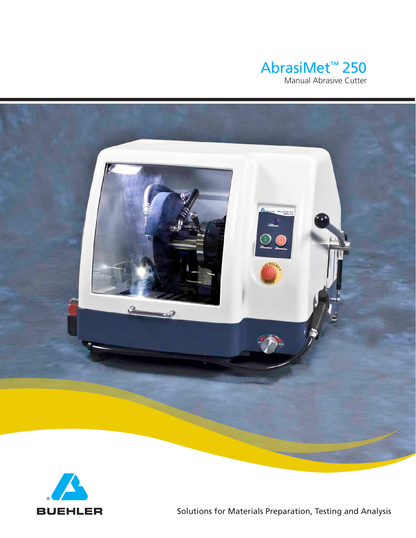





Solutions for Materials Preparation, Testing and Analysis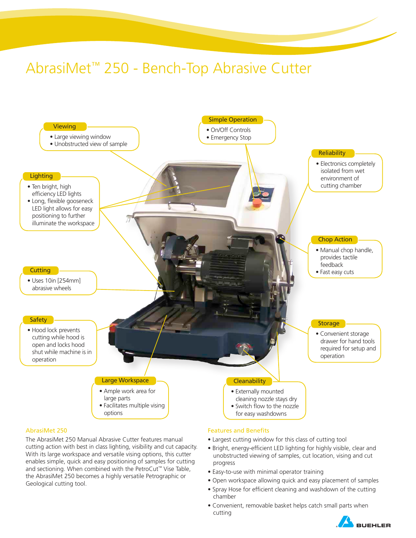# AbrasiMet™ 250 - Bench-Top Abrasive Cutter



cutting action with best in class lighting, visibility and cut capacity. With its large workspace and versatile vising options, this cutter enables simple, quick and easy positioning of samples for cutting and sectioning. When combined with the PetroCut™ Vise Table, the AbrasiMet 250 becomes a highly versatile Petrographic or

Geological cutting tool.

- Largest cutting window for this class of cutting tool
- Bright, energy-efficient LED lighting for highly visible, clear and unobstructed viewing of samples, cut location, vising and cut progress
- Easy-to-use with minimal operator training
- Open workspace allowing quick and easy placement of samples
- Spray Hose for efficient cleaning and washdown of the cutting chamber
- Convenient, removable basket helps catch small parts when cutting

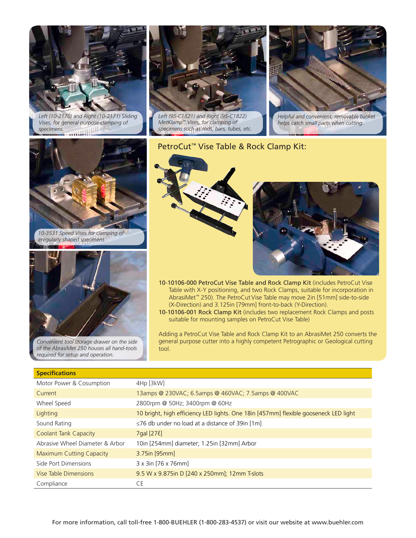

*Left (10-2170) and Right (10-2171) Sliding Vises, for general purpose clamping of specimens.* **WILLIAM HAVE** 



*Left (95-C1821) and Right (95-C1822) MetKlamp™ Vises, for clamping of specimens such as rods, bars, tubes, etc.*



*Helpful and convenient, removable basket helps catch small parts when cutting.*



*10-3531 Speed Vises for clamping of irregularly shaped specimens*



*Convenient tool storage drawer on the side of the AbrasiMet 250 houses all hand-tools required for setup and operation.*

## PetroCut™ Vise Table & Rock Clamp Kit:



- 10-10106-000 PetroCut Vise Table and Rock Clamp Kit (includes PetroCut Vise Table with X-Y positioning, and two Rock Clamps, suitable for incorporation in AbrasiMet™ 250). The PetroCut Vise Table may move 2in [51mm] side-to-side (X-Direction) and 3.125in [79mm] front-to-back (Y-Direction).
- 10-10106-001 Rock Clamp Kit (includes two replacement Rock Clamps and posts suitable for mounting samples on PetroCut Vise Table)

Adding a PetroCut Vise Table and Rock Clamp Kit to an AbrasiMet 250 converts the general purpose cutter into a highly competent Petrographic or Geological cutting tool.

| <b>Specifications</b>           |                                                                                      |  |  |  |
|---------------------------------|--------------------------------------------------------------------------------------|--|--|--|
| Motor Power & Cosumption        | 4Hp [3kW]                                                                            |  |  |  |
| Current                         | 13amps @ 230VAC; 6.5amps @ 460VAC; 7.5amps @ 400VAC                                  |  |  |  |
| Wheel Speed                     | 2800rpm @ 50Hz; 3400rpm @ 60Hz                                                       |  |  |  |
| Lighting                        | 10 bright, high efficiency LED lights. One 18in [457mm] flexible gooseneck LED light |  |  |  |
| Sound Rating                    | $\leq$ 76 db under no load at a distance of 39in [1m]                                |  |  |  |
| <b>Coolant Tank Capacity</b>    | 7gal [27 <i>l</i> ]                                                                  |  |  |  |
| Abrasive Wheel Diameter & Arbor | 10in [254mm] diameter; 1.25in [32mm] Arbor                                           |  |  |  |
| Maximum Cutting Capacity        | $3.75$ in [95mm]                                                                     |  |  |  |
| Side Port Dimensions            | 3 x 3in [76 x 76mm]                                                                  |  |  |  |
| Vise Table Dimensions           | 9.5 W x 9.875in D [240 x 250mm]; 12mm T-slots                                        |  |  |  |
| Compliance                      | CE                                                                                   |  |  |  |